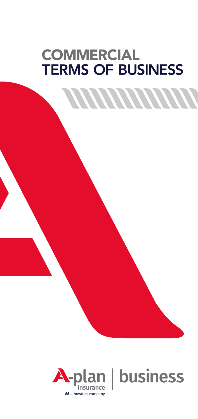# **COMMERCIAL TERMS OF BUSINESS**

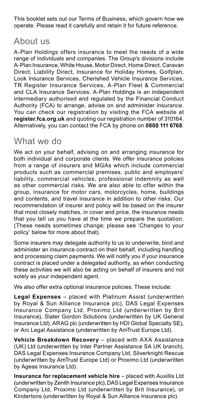This booklet sets out our Terms of Business, which govern how we operate. Please read it carefully and retain it for future reference.

### About us

A-Plan Holdings offers insurance to meet the needs of a wide range of individuals and companies. The Group's divisions include A-Plan Insurance, White House, Motor Direct, Home Direct, Caravan Direct, Liability Direct, Insurance for Holiday Homes, Golfplan, Look Insurance Services, Cherished Vehicle Insurance Services, TR Register Insurance Services, A-Plan Fleet & Commercial and CLA Insurance Services. A-Plan Holdings is an independent intermediary authorised and regulated by the Financial Conduct Authority (FCA) to arrange, advise on and administer insurance. You can check our registration by visiting the FCA website at **[register.fca.org.uk](https://register.fca.org.uk)** and quoting our registration number of 310164. Alternatively, you can contact the FCA by phone on **0800 111 6768**.

### What we do

We act on your behalf, advising on and arranging insurance for both individual and corporate clients. We offer insurance policies from a range of insurers and MGAs which include commercial products such as commercial premises, public and employers' liability, commercial vehicles, professional indemnity as well as other commercial risks. We are also able to offer within the group, insurance for motor cars, motorcycles, home, buildings and contents, and travel insurance in addition to other risks. Our recommendation of insurer and policy will be based on the insurer that most closely matches, in cover and price, the insurance needs that you tell us you have at the time we prepare the quotation. (These needs sometimes change; please see 'Changes to your policy' below for more about that).

Some insurers may delegate authority to us to underwrite, bind and administer an insurance contract on their behalf, including handling and processing claim payments. We will notify you if your insurance contract is placed under a delegated authority, as when conducting these activities we will also be acting on behalf of insurers and not solely as your independent agent.

We also offer extra optional insurance policies. These include:

**Legal Expenses** – placed with Platinum Assist (underwritten by Royal & Sun Alliance Insurance plc), DAS Legal Expenses Insurance Company Ltd, Proximo Ltd (underwritten by Brit Insurance), Slater Gordon Solutions (underwritten by UK General Insurance Ltd), ARAG plc (underwritten by HDI Global Specialty SE), or Arc Legal Assistance (underwritten by AmTrust Europe Ltd).

**Vehicle Breakdown Recovery** – placed with AXA Assistance (UK) Ltd (underwritten by Inter Partner Assistance SA UK branch), DAS Legal Expenses Insurance Company Ltd, Silverknight Rescue (underwritten by AmTrust Europe Ltd) or Proximo Ltd (underwritten by Ageas Insurance Ltd).

**Insurance for replacement vehicle hire** – placed with Auxillis Ltd (underwritten by Zenith Insurance plc), DAS Legal Expenses Insurance Company Ltd, Proximo Ltd (underwritten by Brit Insurance), or Kindertons (underwritten by Royal & Sun Alliance Insurance plc).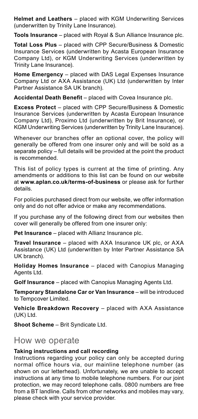**Helmet and Leathers** – placed with KGM Underwriting Services (underwritten by Trinity Lane Insurance).

**Tools Insurance** – placed with Royal & Sun Alliance Insurance plc.

**Total Loss Plus** – placed with CPP Secure/Business & Domestic Insurance Services (underwritten by Acasta European Insurance Company Ltd), or KGM Underwriting Services (underwritten by Trinity Lane Insurance).

**Home Emergency** – placed with DAS Legal Expenses Insurance Company Ltd or AXA Assistance (UK) Ltd (underwritten by Inter Partner Assistance SA UK branch).

**Accidental Death Benefit** – placed with Covea Insurance plc.

**Excess Protect** – placed with CPP Secure/Business & Domestic Insurance Services (underwritten by Acasta European Insurance Company Ltd), Proximo Ltd (underwritten by Brit Insurance), or KGM Underwriting Services (underwritten by Trinity Lane Insurance).

Whenever our branches offer an optional cover, the policy will generally be offered from one insurer only and will be sold as a separate policy – full details will be provided at the point the product is recommended.

This list of policy types is current at the time of printing. Any amendments or additions to this list can be found on our website at **[www.aplan.co.uk/terms-of-business](https://www.aplan.co.uk/terms-of-business)** or please ask for further details.

For policies purchased direct from our website, we offer information only and do not offer advice or make any recommendations.

If you purchase any of the following direct from our websites then cover will generally be offered from one insurer only:

**Pet Insurance** – placed with Allianz Insurance plc.

**Travel Insurance** – placed with AXA Insurance UK plc, or AXA Assistance (UK) Ltd (underwritten by Inter Partner Assistance SA UK branch).

**Holiday Homes Insurance** – placed with Canopius Managing Agents Ltd.

**Golf Insurance** – placed with Canopius Managing Agents Ltd.

**Temporary Standalone Car or Van Insurance** – will be introduced to Tempcover Limited.

**Vehicle Breakdown Recovery** – placed with AXA Assistance (UK) Ltd.

**Shoot Scheme** – Brit Syndicate Ltd.

### How we operate

#### **Taking instructions and call recording**

Instructions regarding your policy can only be accepted during normal office hours via, our mainline telephone number (as shown on our letterhead). Unfortunately, we are unable to accept instructions at any time to mobile telephone numbers. For our joint protection, we may record telephone calls. 0800 numbers are free from a BT landline. Calls from other networks and mobiles may vary, please check with your service provider.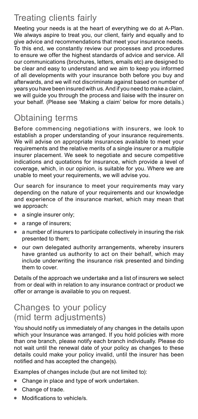# Treating clients fairly

Meeting your needs is at the heart of everything we do at A-Plan. We always aspire to treat you, our client, fairly and equally and to give advice and recommendations that meet your insurance needs. To this end, we constantly review our processes and procedures to ensure we offer the highest standards of advice and service. All our communications (brochures, letters, emails etc) are designed to be clear and easy to understand and we aim to keep you informed of all developments with your insurance both before you buy and afterwards, and we will not discriminate against based on number of years you have been insured with us. And if you need to make a claim, we will guide you through the process and liaise with the insurer on your behalf. (Please see 'Making a claim' below for more details.)

# Obtaining terms

Before commencing negotiations with insurers, we look to establish a proper understanding of your insurance requirements. We will advise on appropriate insurances available to meet your requirements and the relative merits of a single insurer or a multiple insurer placement. We seek to negotiate and secure competitive indications and quotations for insurance, which provide a level of coverage, which, in our opinion, is suitable for you. Where we are unable to meet your requirements, we will advise you.

Our search for insurance to meet your requirements may vary depending on the nature of your requirements and our knowledge and experience of the insurance market, which may mean that we approach:

- a single insurer only;
- a range of insurers;
- a number of insurers to participate collectively in insuring the risk presented to them;
- our own delegated authority arrangements, whereby insurers have granted us authority to act on their behalf, which may include underwriting the insurance risk presented and binding them to cover.

Details of the approach we undertake and a list of insurers we select from or deal with in relation to any insurance contract or product we offer or arrange is available to you on request.

### Changes to your policy (mid term adjustments)

You should notify us immediately of any changes in the details upon which your Insurance was arranged. If you hold policies with more than one branch, please notify each branch individually. Please do not wait until the renewal date of your policy as changes to these details could make your policy invalid, until the insurer has been notified and has accepted the change(s).

Examples of changes include (but are not limited to):

- Change in place and type of work undertaken.
- Change of trade.
- Modifications to vehicle/s.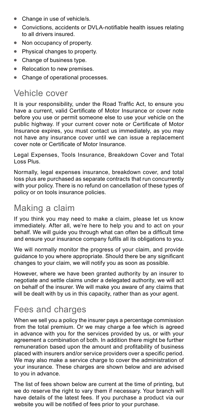- Change in use of vehicle/s.
- $\bullet$ Convictions, accidents or DVLA-notifiable health issues relating to all drivers insured.
- Non occupancy of property.
- Physical changes to property.
- Change of business type.
- Relocation to new premises.
- Change of operational processes.

# Vehicle cover

It is your responsibility, under the Road Traffic Act, to ensure you have a current, valid Certificate of Motor Insurance or cover note before you use or permit someone else to use your vehicle on the public highway. If your current cover note or Certificate of Motor Insurance expires, you must contact us immediately, as you may not have any insurance cover until we can issue a replacement cover note or Certificate of Motor Insurance.

Legal Expenses, Tools Insurance, Breakdown Cover and Total Loss Plus.

Normally, legal expenses insurance, breakdown cover, and total loss plus are purchased as separate contracts that run concurrently with your policy. There is no refund on cancellation of these types of policy or on tools insurance policies.

### Making a claim

If you think you may need to make a claim, please let us know immediately. After all, we're here to help you and to act on your behalf. We will guide you through what can often be a difficult time and ensure your insurance company fulfils all its obligations to you.

We will normally monitor the progress of your claim, and provide guidance to you where appropriate. Should there be any significant changes to your claim, we will notify you as soon as possible.

However, where we have been granted authority by an insurer to negotiate and settle claims under a delegated authority, we will act on behalf of the insurer. We will make you aware of any claims that will be dealt with by us in this capacity, rather than as your agent.

### Fees and charges

When we sell you a policy the insurer pays a percentage commission from the total premium. Or we may charge a fee which is agreed in advance with you for the services provided by us, or with your agreement a combination of both. In addition there might be further remuneration based upon the amount and profitability of business placed with insurers and/or service providers over a specific period. We may also make a service charge to cover the administration of your insurance. These charges are shown below and are advised to you in advance.

The list of fees shown below are current at the time of printing, but we do reserve the right to vary them if necessary. Your branch will have details of the latest fees. If you purchase a product via our website you will be notified of fees prior to your purchase.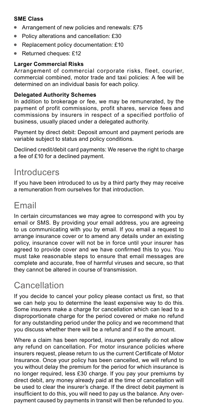#### **SME Class**

- Arrangement of new policies and renewals: £75
- Policy alterations and cancellation: £30
- Replacement policy documentation: £10
- Returned cheques: £12

#### **Larger Commercial Risks**

Arrangement of commercial corporate risks, fleet, courier, commercial combined, motor trade and taxi policies: A fee will be determined on an individual basis for each policy.

#### **Delegated Authority Schemes**

In addition to brokerage or fee, we may be remunerated, by the payment of profit commissions, profit shares, service fees and commissions by insurers in respect of a specified portfolio of business, usually placed under a delegated authority.

Payment by direct debit: Deposit amount and payment periods are variable subject to status and policy conditions.

Declined credit/debit card payments: We reserve the right to charge a fee of £10 for a declined payment.

### **Introducers**

If you have been introduced to us by a third party they may receive a remuneration from ourselves for that introduction.

### Email

In certain circumstances we may agree to correspond with you by email or SMS. By providing your email address, you are agreeing to us communicating with you by email. If you email a request to arrange insurance cover or to amend any details under an existing policy, insurance cover will not be in force until your insurer has agreed to provide cover and we have confirmed this to you. You must take reasonable steps to ensure that email messages are complete and accurate, free of harmful viruses and secure, so that they cannot be altered in course of transmission.

# Cancellation

If you decide to cancel your policy please contact us first, so that we can help you to determine the least expensive way to do this. Some insurers make a charge for cancellation which can lead to a disproportionate charge for the period covered or make no refund for any outstanding period under the policy and we recommend that you discuss whether there will be a refund and if so the amount.

Where a claim has been reported, insurers generally do not allow any refund on cancellation. For motor insurance policies where insurers request, please return to us the current Certificate of Motor Insurance. Once your policy has been cancelled, we will refund to you without delay the premium for the period for which insurance is no longer required, less £30 charge. If you pay your premiums by direct debit, any money already paid at the time of cancellation will be used to clear the insurer's charge. If the direct debit payment is insufficient to do this, you will need to pay us the balance. Any overpayment caused by payments in transit will then be refunded to you.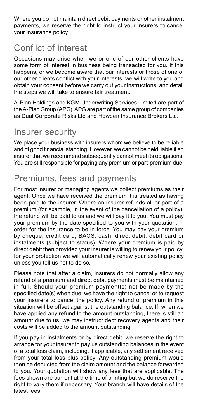Where you do not maintain direct debit payments or other instalment payments, we reserve the right to instruct your insurers to cancel your insurance policy.

# Conflict of interest

Occasions may arise when we or one of our other clients have some form of interest in business being transacted for you. If this happens, or we become aware that our interests or those of one of our other clients conflict with your interests, we will write to you and obtain your consent before we carry out your instructions, and detail the steps we will take to ensure fair treatment.

A-Plan Holdings and KGM Underwriting Services Limited are part of the A-Plan Group (APG). APG are part of the same group of companies as Dual Corporate Risks Ltd and Howden Insurance Brokers Ltd.

### Insurer security

We place your business with insurers whom we believe to be reliable and of good financial standing. However, we cannot be held liable if an insurer that we recommend subsequently cannot meet its obligations. You are still responsible for paying any premium or part-premium due.

### Premiums, fees and payments

For most insurer or managing agents we collect premiums as their agent. Once we have received the premium it is treated as having been paid to the insurer. Where an insurer refunds all or part of a premium (for example, in the event of the cancellation of a policy), the refund will be paid to us and we will pay it to you. You must pay your premium by the date specified to you with your quotation, in order for the insurance to be in force. You may pay your premium by cheque, credit card, BACS, cash, direct debit, debit card or instalments (subject to status). Where your premium is paid by direct debit then provided your insurer is willing to renew your policy, for your protection we will automatically renew your existing policy unless you tell us not to do so.

Please note that after a claim, insurers do not normally allow any refund of a premium and direct debit payments must be maintained in full. Should your premium payment(s) not be made by the specified date(s) when due, we have the right to cancel or to request your insurers to cancel the policy. Any refund of premium in this situation will be offset against the outstanding balance. If, when we have applied any refund to the amount outstanding, there is still an amount due to us, we may instruct debt recovery agents and their costs will be added to the amount outstanding.

If you pay in instalments or by direct debit, we reserve the right to arrange for your insurer to pay us outstanding balances in the event of a total loss claim, including, if applicable, any settlement received from your total loss plus policy. Any outstanding premium would then be deducted from the claim amount and the balance forwarded to you. Your quotation will show any fees that are applicable. The fees shown are current at the time of printing but we do reserve the right to vary them if necessary. Your branch will have details of the latest fees.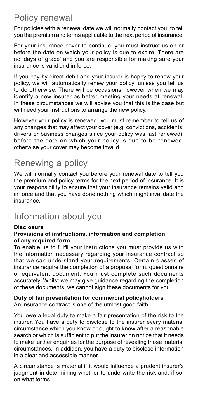# Policy renewal

For policies with a renewal date we will normally contact you, to tell you the premium and terms applicable to the next period of insurance.

For your insurance cover to continue, you must instruct us on or before the date on which your policy is due to expire. There are no 'days of grace' and you are responsible for making sure your insurance is valid and in force.

If you pay by direct debit and your insurer is happy to renew your policy, we will automatically renew your policy, unless you tell us to do otherwise. There will be occasions however when we may identify a new insurer as better meeting your needs at renewal. In these circumstances we will advise you that this is the case but will need your instructions to arrange the new policy.

However your policy is renewed, you must remember to tell us of any changes that may affect your cover (e.g. convictions, accidents, drivers or business changes since your policy was last renewed), before the date on which your policy is due to be renewed, otherwise your cover may become invalid.

### Renewing a policy

We will normally contact you before your renewal date to tell you the premium and policy terms for the next period of insurance. It is your responsibility to ensure that your insurance remains valid and in force and that you have done nothing which might invalidate the insurance.

### Information about you

#### **Disclosure**

#### **Provisions of instructions, information and completion of any required form**

To enable us to fulfil your instructions you must provide us with the information necessary regarding your insurance contract so that we can understand your requirements. Certain classes of insurance require the completion of a proposal form, questionnaire or equivalent document. You must complete such documents accurately. Whilst we may give guidance regarding the completion of these documents, we cannot sign these documents for you.

#### **Duty of fair presentation for commercial policyholders**

An insurance contract is one of the utmost good faith.

You owe a legal duty to make a fair presentation of the risk to the insurer. You have a duty to disclose to the insurer every material circumstance which you know or ought to know after a reasonable search or which is sufficient to put the insurer on notice that it needs to make further enquiries for the purpose of revealing those material circumstances. In addition, you have a duty to disclose information in a clear and accessible manner.

A circumstance is material if it would influence a prudent insurer's judgment in determining whether to underwrite the risk and, if so, on what terms.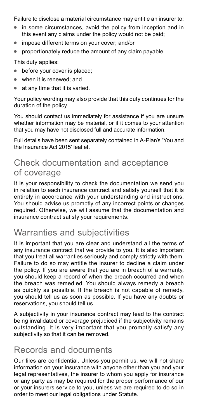Failure to disclose a material circumstance may entitle an insurer to:

- in some circumstances, avoid the policy from inception and in this event any claims under the policy would not be paid;
- impose different terms on your cover; and/or
- proportionately reduce the amount of any claim payable.

This duty applies:

- before your cover is placed;
- when it is renewed; and
- at any time that it is varied.

Your policy wording may also provide that this duty continues for the duration of the policy.

You should contact us immediately for assistance if you are unsure whether information may be material, or if it comes to your attention that you may have not disclosed full and accurate information.

Full details have been sent separately contained in A-Plan's 'You and the Insurance Act 2015' leaflet.

### Check documentation and acceptance of coverage

It is your responsibility to check the documentation we send you in relation to each insurance contract and satisfy yourself that it is entirely in accordance with your understanding and instructions. You should advise us promptly of any incorrect points or changes required. Otherwise, we will assume that the documentation and insurance contract satisfy your requirements.

### Warranties and subjectivities

It is important that you are clear and understand all the terms of any insurance contract that we provide to you. It is also important that you treat all warranties seriously and comply strictly with them. Failure to do so may entitle the insurer to decline a claim under the policy. If you are aware that you are in breach of a warranty, you should keep a record of when the breach occurred and when the breach was remedied. You should always remedy a breach as quickly as possible. If the breach is not capable of remedy, you should tell us as soon as possible. If you have any doubts or reservations, you should tell us.

A subjectivity in your insurance contract may lead to the contract being invalidated or coverage prejudiced if the subjectivity remains outstanding. It is very important that you promptly satisfy any subjectivity so that it can be removed.

### Records and documents

Our files are confidential. Unless you permit us, we will not share information on your insurance with anyone other than you and your legal representatives, the insurer to whom you apply for insurance or any party as may be required for the proper performance of our or your insurers service to you, unless we are required to do so in order to meet our legal obligations under Statute.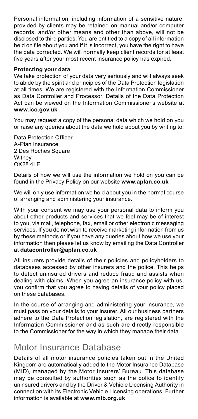Personal information, including information of a sensitive nature, provided by clients may be retained on manual and/or computer records, and/or other means and other than above, will not be disclosed to third parties. You are entitled to a copy of all information held on file about you and if it is incorrect, you have the right to have the data corrected. We will normally keep client records for at least five years after your most recent insurance policy has expired.

#### **Protecting your data**

We take protection of your data very seriously and will always seek to abide by the spirit and principles of the Data Protection legislation at all times. We are registered with the Information Commissioner as Data Controller and Processor. Details of the Data Protection Act can be viewed on the Information Commissioner's website at **[www.ico.gov.uk](https://www.ico.gov.uk)**

You may request a copy of the personal data which we hold on you or raise any queries about the data we hold about you by writing to:

Data Protection Officer A-Plan Insurance 2 Des Roches Square **Witney** OX28 4LE

Details of how we will use the information we hold on you can be found in the Privacy Policy on our website **[www.aplan.co.uk](https://www.aplan.co.uk)**

We will only use information we hold about you in the normal course of arranging and administering your insurance.

With your consent we may use your personal data to inform you about other products and services that we feel may be of interest to you, via mail, telephone, fax, email or other electronic messaging services. If you do not wish to receive marketing information from us by these methods or if you have any queries about how we use your information then please let us know by emailing the Data Controller at **[datacontroller@aplan.co.uk](mailto:datacontroller%40aplan.co.uk?subject=)**

All insurers provide details of their policies and policyholders to databases accessed by other insurers and the police. This helps to detect uninsured drivers and reduce fraud and assists when dealing with claims. When you agree an insurance policy with us, you confirm that you agree to having details of your policy placed on these databases.

In the course of arranging and administering your insurance, we must pass on your details to your insurer. All our business partners adhere to the Data Protection legislation, are registered with the Information Commissioner and as such are directly responsible to the Commissioner for the way in which they manage their data.

#### Motor Insurance Database

Details of all motor insurance policies taken out in the United Kingdom are automatically added to the Motor Insurance Database (MID), managed by the Motor Insurers' Bureau. This database may be consulted by authorities such as the police to identify uninsured drivers and by the Driver & Vehicle Licensing Authority in connection with its Electronic Vehicle Licensing operations. Further information is available at **[www.mib.org.uk](https://www.mib.org.uk)**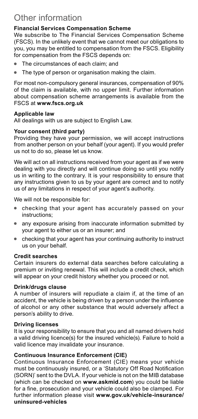# Other information

#### **Financial Services Compensation Scheme**

We subscribe to The Financial Services Compensation Scheme (FSCS). In the unlikely event that we cannot meet our obligations to you, you may be entitled to compensation from the FSCS. Eligibility for compensation from the FSCS depends on:

- The circumstances of each claim; and
- The type of person or organisation making the claim.

For most non-compulsory general insurances, compensation of 90% of the claim is available, with no upper limit. Further information about compensation scheme arrangements is available from the FSCS at **[www.fscs.org.uk](https://www.fscs.org.uk)**

#### **Applicable law**

All dealings with us are subject to English Law.

#### **Your consent (third party)**

Providing they have your permission, we will accept instructions from another person on your behalf (your agent). If you would prefer us not to do so, please let us know.

We will act on all instructions received from your agent as if we were dealing with you directly and will continue doing so until you notify us in writing to the contrary. It is your responsibility to ensure that any instructions given to us by your agent are correct and to notify us of any limitations in respect of your agent's authority.

We will not be responsible for:

- checking that your agent has accurately passed on your instructions;
- any exposure arising from inaccurate information submitted by your agent to either us or an insurer; and
- checking that your agent has your continuing authority to instruct us on your behalf.

#### **Credit searches**

Certain insurers do external data searches before calculating a premium or inviting renewal. This will include a credit check, which will appear on your credit history whether you proceed or not.

#### **Drink/drugs clause**

A number of insurers will repudiate a claim if, at the time of an accident, the vehicle is being driven by a person under the influence of alcohol or any other substance that would adversely affect a person's ability to drive.

#### **Driving licenses**

It is your responsibility to ensure that you and all named drivers hold a valid driving licence(s) for the insured vehicle(s). Failure to hold a valid licence may invalidate your insurance.

#### **Continuous Insurance Enforcement (ClE)**

Continuous Insurance Enforcement (CIE) means your vehicle must be continuously insured, or a 'Statutory Off Road Notification (SORN)' sent to the DVLA. If your vehicle is not on the MIB database (which can be checked on **[www.askmid.com](https://www.askmid.com)**) you could be liable for a fine, prosecution and your vehicle could also be clamped. For further information please visit **[www.gov.uk/vehicle-insurance/](https://www.gov.uk/vehicle-insurance/uninsured-vehicles) [uninsured-vehicles](https://www.gov.uk/vehicle-insurance/uninsured-vehicles)**